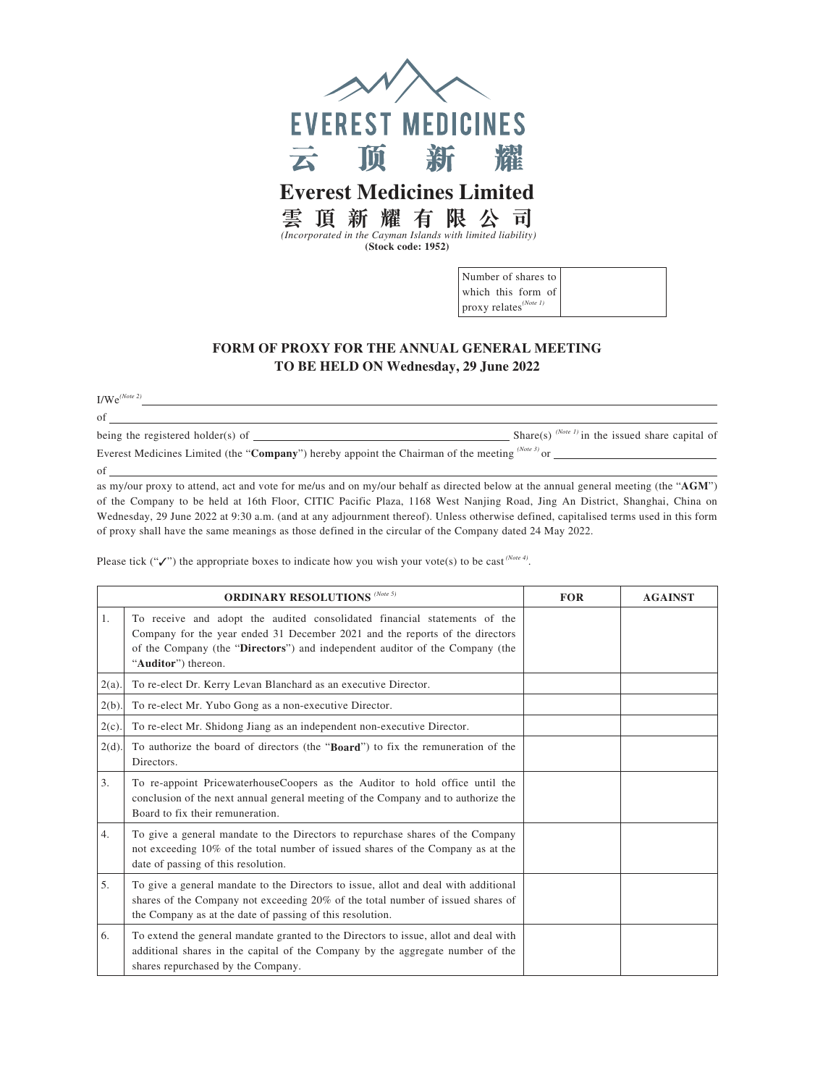

 *(Incorporated in the Cayman Islands with limited liability)* **(Stock code: 1952)**

| Number of shares to               |  |
|-----------------------------------|--|
| which this form of                |  |
| proxy relates <sup>(Note 1)</sup> |  |

## **FORM OF PROXY FOR THE ANNUAL GENERAL MEETING TO BE HELD ON Wednesday, 29 June 2022**

I/We*(Note 2)*

of

of being the registered holder(s) of  $\frac{S_{\text{bare 1}}}{S_{\text{other}}}$  Share(s)  $\frac{(Note 1) \text{ in the issued share capital of the original.}}{S_{\text{other}}}$ Everest Medicines Limited (the "**Company**") hereby appoint the Chairman of the meeting <sup>(Note 3)</sup> or \_

as my/our proxy to attend, act and vote for me/us and on my/our behalf as directed below at the annual general meeting (the "**AGM**") of the Company to be held at 16th Floor, CITIC Pacific Plaza, 1168 West Nanjing Road, Jing An District, Shanghai, China on Wednesday, 29 June 2022 at 9:30 a.m. (and at any adjournment thereof). Unless otherwise defined, capitalised terms used in this form of proxy shall have the same meanings as those defined in the circular of the Company dated 24 May 2022.

Please tick ("✓") the appropriate boxes to indicate how you wish your vote(s) to be cast<sup>(Note 4)</sup>.

|          | <b>ORDINARY RESOLUTIONS</b> (Note 5)                                                                                                                                                                                                                             | <b>FOR</b> | <b>AGAINST</b> |
|----------|------------------------------------------------------------------------------------------------------------------------------------------------------------------------------------------------------------------------------------------------------------------|------------|----------------|
| 1.       | To receive and adopt the audited consolidated financial statements of the<br>Company for the year ended 31 December 2021 and the reports of the directors<br>of the Company (the "Directors") and independent auditor of the Company (the<br>"Auditor") thereon. |            |                |
| $2(a)$ . | To re-elect Dr. Kerry Levan Blanchard as an executive Director.                                                                                                                                                                                                  |            |                |
| $2(b)$ . | To re-elect Mr. Yubo Gong as a non-executive Director.                                                                                                                                                                                                           |            |                |
| $2(c)$ . | To re-elect Mr. Shidong Jiang as an independent non-executive Director.                                                                                                                                                                                          |            |                |
| $2(d)$ . | To authorize the board of directors (the "Board") to fix the remuneration of the<br>Directors.                                                                                                                                                                   |            |                |
| 3.       | To re-appoint PricewaterhouseCoopers as the Auditor to hold office until the<br>conclusion of the next annual general meeting of the Company and to authorize the<br>Board to fix their remuneration.                                                            |            |                |
| 4.       | To give a general mandate to the Directors to repurchase shares of the Company<br>not exceeding 10% of the total number of issued shares of the Company as at the<br>date of passing of this resolution.                                                         |            |                |
| 5.       | To give a general mandate to the Directors to issue, allot and deal with additional<br>shares of the Company not exceeding 20% of the total number of issued shares of<br>the Company as at the date of passing of this resolution.                              |            |                |
| 6.       | To extend the general mandate granted to the Directors to issue, allot and deal with<br>additional shares in the capital of the Company by the aggregate number of the<br>shares repurchased by the Company.                                                     |            |                |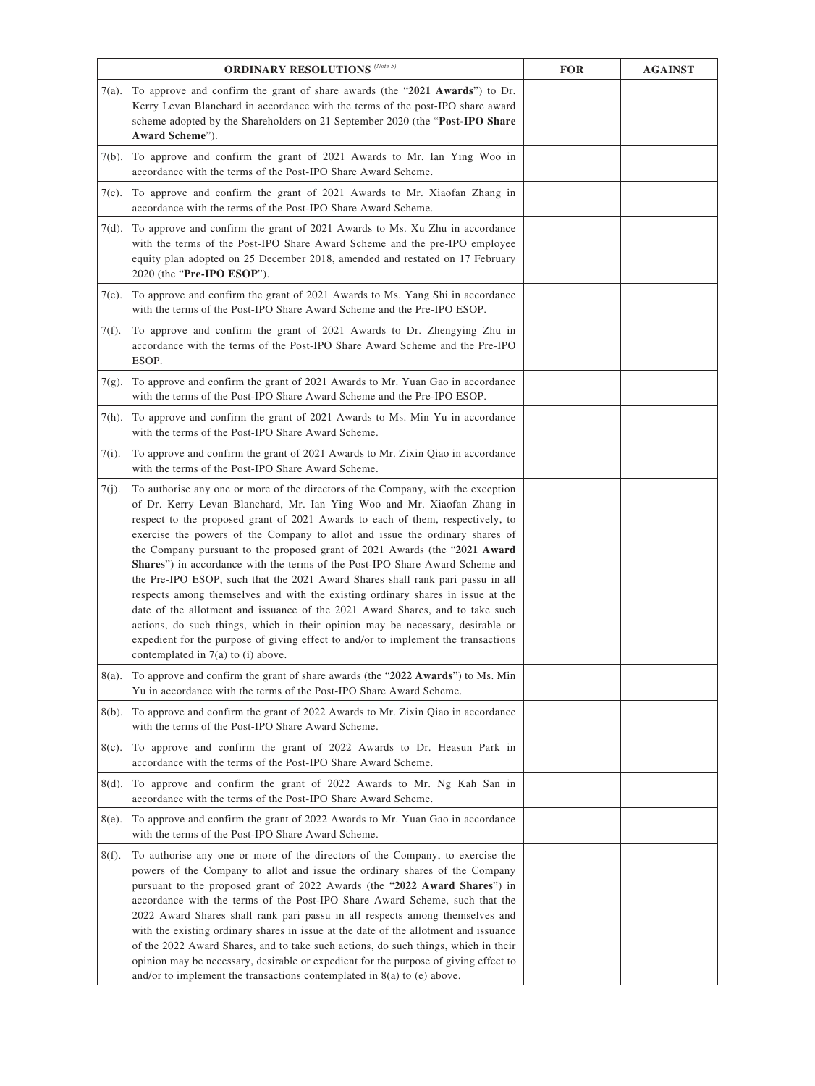|          | ORDINARY RESOLUTIONS $^{\left( Note\ 5\right) }$                                                                                                                                                                                                                                                                                                                                                                                                                                                                                                                                                                                                                                                                                                                                                                                                                                                                                                                          | <b>FOR</b> | <b>AGAINST</b> |
|----------|---------------------------------------------------------------------------------------------------------------------------------------------------------------------------------------------------------------------------------------------------------------------------------------------------------------------------------------------------------------------------------------------------------------------------------------------------------------------------------------------------------------------------------------------------------------------------------------------------------------------------------------------------------------------------------------------------------------------------------------------------------------------------------------------------------------------------------------------------------------------------------------------------------------------------------------------------------------------------|------------|----------------|
| 7(a).    | To approve and confirm the grant of share awards (the "2021 Awards") to Dr.<br>Kerry Levan Blanchard in accordance with the terms of the post-IPO share award<br>scheme adopted by the Shareholders on 21 September 2020 (the "Post-IPO Share"<br>Award Scheme").                                                                                                                                                                                                                                                                                                                                                                                                                                                                                                                                                                                                                                                                                                         |            |                |
| $7(b)$ . | To approve and confirm the grant of 2021 Awards to Mr. Ian Ying Woo in<br>accordance with the terms of the Post-IPO Share Award Scheme.                                                                                                                                                                                                                                                                                                                                                                                                                                                                                                                                                                                                                                                                                                                                                                                                                                   |            |                |
| $7(c)$ . | To approve and confirm the grant of 2021 Awards to Mr. Xiaofan Zhang in<br>accordance with the terms of the Post-IPO Share Award Scheme.                                                                                                                                                                                                                                                                                                                                                                                                                                                                                                                                                                                                                                                                                                                                                                                                                                  |            |                |
| $7(d)$ . | To approve and confirm the grant of 2021 Awards to Ms. Xu Zhu in accordance<br>with the terms of the Post-IPO Share Award Scheme and the pre-IPO employee<br>equity plan adopted on 25 December 2018, amended and restated on 17 February<br>2020 (the "Pre-IPO ESOP").                                                                                                                                                                                                                                                                                                                                                                                                                                                                                                                                                                                                                                                                                                   |            |                |
| 7(e).    | To approve and confirm the grant of 2021 Awards to Ms. Yang Shi in accordance<br>with the terms of the Post-IPO Share Award Scheme and the Pre-IPO ESOP.                                                                                                                                                                                                                                                                                                                                                                                                                                                                                                                                                                                                                                                                                                                                                                                                                  |            |                |
| $7(f)$ . | To approve and confirm the grant of 2021 Awards to Dr. Zhengying Zhu in<br>accordance with the terms of the Post-IPO Share Award Scheme and the Pre-IPO<br>ESOP.                                                                                                                                                                                                                                                                                                                                                                                                                                                                                                                                                                                                                                                                                                                                                                                                          |            |                |
| $7(g)$ . | To approve and confirm the grant of 2021 Awards to Mr. Yuan Gao in accordance<br>with the terms of the Post-IPO Share Award Scheme and the Pre-IPO ESOP.                                                                                                                                                                                                                                                                                                                                                                                                                                                                                                                                                                                                                                                                                                                                                                                                                  |            |                |
| 7(h).    | To approve and confirm the grant of 2021 Awards to Ms. Min Yu in accordance<br>with the terms of the Post-IPO Share Award Scheme.                                                                                                                                                                                                                                                                                                                                                                                                                                                                                                                                                                                                                                                                                                                                                                                                                                         |            |                |
| 7(i).    | To approve and confirm the grant of 2021 Awards to Mr. Zixin Qiao in accordance<br>with the terms of the Post-IPO Share Award Scheme.                                                                                                                                                                                                                                                                                                                                                                                                                                                                                                                                                                                                                                                                                                                                                                                                                                     |            |                |
| $7(j)$ . | To authorise any one or more of the directors of the Company, with the exception<br>of Dr. Kerry Levan Blanchard, Mr. Ian Ying Woo and Mr. Xiaofan Zhang in<br>respect to the proposed grant of 2021 Awards to each of them, respectively, to<br>exercise the powers of the Company to allot and issue the ordinary shares of<br>the Company pursuant to the proposed grant of 2021 Awards (the "2021 Award<br><b>Shares</b> ") in accordance with the terms of the Post-IPO Share Award Scheme and<br>the Pre-IPO ESOP, such that the 2021 Award Shares shall rank pari passu in all<br>respects among themselves and with the existing ordinary shares in issue at the<br>date of the allotment and issuance of the 2021 Award Shares, and to take such<br>actions, do such things, which in their opinion may be necessary, desirable or<br>expedient for the purpose of giving effect to and/or to implement the transactions<br>contemplated in $7(a)$ to (i) above. |            |                |
| 8(a).    | To approve and confirm the grant of share awards (the "2022 Awards") to Ms. Min<br>Yu in accordance with the terms of the Post-IPO Share Award Scheme.                                                                                                                                                                                                                                                                                                                                                                                                                                                                                                                                                                                                                                                                                                                                                                                                                    |            |                |
| $8(b)$ . | To approve and confirm the grant of 2022 Awards to Mr. Zixin Qiao in accordance<br>with the terms of the Post-IPO Share Award Scheme.                                                                                                                                                                                                                                                                                                                                                                                                                                                                                                                                                                                                                                                                                                                                                                                                                                     |            |                |
| $8(c)$ . | To approve and confirm the grant of 2022 Awards to Dr. Heasun Park in<br>accordance with the terms of the Post-IPO Share Award Scheme.                                                                                                                                                                                                                                                                                                                                                                                                                                                                                                                                                                                                                                                                                                                                                                                                                                    |            |                |
| $8(d)$ . | To approve and confirm the grant of 2022 Awards to Mr. Ng Kah San in<br>accordance with the terms of the Post-IPO Share Award Scheme.                                                                                                                                                                                                                                                                                                                                                                                                                                                                                                                                                                                                                                                                                                                                                                                                                                     |            |                |
| 8(e).    | To approve and confirm the grant of 2022 Awards to Mr. Yuan Gao in accordance<br>with the terms of the Post-IPO Share Award Scheme.                                                                                                                                                                                                                                                                                                                                                                                                                                                                                                                                                                                                                                                                                                                                                                                                                                       |            |                |
| $8(f)$ . | To authorise any one or more of the directors of the Company, to exercise the<br>powers of the Company to allot and issue the ordinary shares of the Company<br>pursuant to the proposed grant of 2022 Awards (the "2022 Award Shares") in<br>accordance with the terms of the Post-IPO Share Award Scheme, such that the<br>2022 Award Shares shall rank pari passu in all respects among themselves and<br>with the existing ordinary shares in issue at the date of the allotment and issuance<br>of the 2022 Award Shares, and to take such actions, do such things, which in their<br>opinion may be necessary, desirable or expedient for the purpose of giving effect to<br>and/or to implement the transactions contemplated in $8(a)$ to (e) above.                                                                                                                                                                                                              |            |                |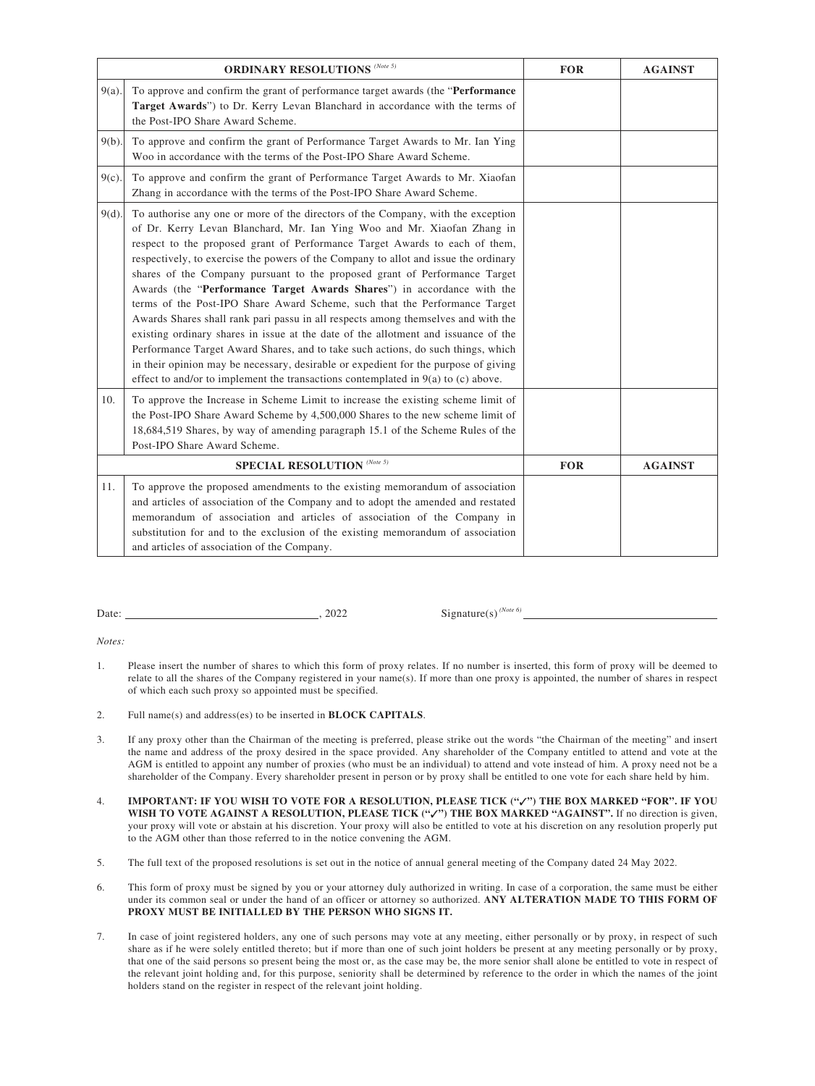|                             | ORDINARY RESOLUTIONS $^{\left( Note\ 5\right) }$                                                                                                                                                                                                                                                                                                                                                                                                                                                                                                                                                                                                                                                                                                                                                                                                                                                                                                                                                                     | <b>FOR</b> | <b>AGAINST</b> |
|-----------------------------|----------------------------------------------------------------------------------------------------------------------------------------------------------------------------------------------------------------------------------------------------------------------------------------------------------------------------------------------------------------------------------------------------------------------------------------------------------------------------------------------------------------------------------------------------------------------------------------------------------------------------------------------------------------------------------------------------------------------------------------------------------------------------------------------------------------------------------------------------------------------------------------------------------------------------------------------------------------------------------------------------------------------|------------|----------------|
| $9(a)$ .                    | To approve and confirm the grant of performance target awards (the "Performance<br>Target Awards") to Dr. Kerry Levan Blanchard in accordance with the terms of<br>the Post-IPO Share Award Scheme.                                                                                                                                                                                                                                                                                                                                                                                                                                                                                                                                                                                                                                                                                                                                                                                                                  |            |                |
| $9(b)$ .                    | To approve and confirm the grant of Performance Target Awards to Mr. Ian Ying<br>Woo in accordance with the terms of the Post-IPO Share Award Scheme.                                                                                                                                                                                                                                                                                                                                                                                                                                                                                                                                                                                                                                                                                                                                                                                                                                                                |            |                |
| $9(c)$ .                    | To approve and confirm the grant of Performance Target Awards to Mr. Xiaofan<br>Zhang in accordance with the terms of the Post-IPO Share Award Scheme.                                                                                                                                                                                                                                                                                                                                                                                                                                                                                                                                                                                                                                                                                                                                                                                                                                                               |            |                |
| $9(d)$ .                    | To authorise any one or more of the directors of the Company, with the exception<br>of Dr. Kerry Levan Blanchard, Mr. Ian Ying Woo and Mr. Xiaofan Zhang in<br>respect to the proposed grant of Performance Target Awards to each of them,<br>respectively, to exercise the powers of the Company to allot and issue the ordinary<br>shares of the Company pursuant to the proposed grant of Performance Target<br>Awards (the "Performance Target Awards Shares") in accordance with the<br>terms of the Post-IPO Share Award Scheme, such that the Performance Target<br>Awards Shares shall rank pari passu in all respects among themselves and with the<br>existing ordinary shares in issue at the date of the allotment and issuance of the<br>Performance Target Award Shares, and to take such actions, do such things, which<br>in their opinion may be necessary, desirable or expedient for the purpose of giving<br>effect to and/or to implement the transactions contemplated in $9(a)$ to (c) above. |            |                |
| 10.                         | To approve the Increase in Scheme Limit to increase the existing scheme limit of<br>the Post-IPO Share Award Scheme by 4,500,000 Shares to the new scheme limit of<br>18,684,519 Shares, by way of amending paragraph 15.1 of the Scheme Rules of the<br>Post-IPO Share Award Scheme.                                                                                                                                                                                                                                                                                                                                                                                                                                                                                                                                                                                                                                                                                                                                |            |                |
| SPECIAL RESOLUTION (Note 5) |                                                                                                                                                                                                                                                                                                                                                                                                                                                                                                                                                                                                                                                                                                                                                                                                                                                                                                                                                                                                                      | <b>FOR</b> | <b>AGAINST</b> |
| 11.                         | To approve the proposed amendments to the existing memorandum of association<br>and articles of association of the Company and to adopt the amended and restated<br>memorandum of association and articles of association of the Company in<br>substitution for and to the exclusion of the existing memorandum of association<br>and articles of association of the Company.                                                                                                                                                                                                                                                                                                                                                                                                                                                                                                                                                                                                                                        |            |                |

| Date: | 2022 |
|-------|------|
|       |      |

 $2 \qquad \qquad$  Signature(s)<sup>(Note 6)</sup>

*Notes:*

- 1. Please insert the number of shares to which this form of proxy relates. If no number is inserted, this form of proxy will be deemed to relate to all the shares of the Company registered in your name(s). If more than one proxy is appointed, the number of shares in respect of which each such proxy so appointed must be specified.
- 2. Full name(s) and address(es) to be inserted in **BLOCK CAPITALS**.
- 3. If any proxy other than the Chairman of the meeting is preferred, please strike out the words "the Chairman of the meeting" and insert the name and address of the proxy desired in the space provided. Any shareholder of the Company entitled to attend and vote at the AGM is entitled to appoint any number of proxies (who must be an individual) to attend and vote instead of him. A proxy need not be a shareholder of the Company. Every shareholder present in person or by proxy shall be entitled to one vote for each share held by him.
- 4. **IMPORTANT: IF YOU WISH TO VOTE FOR A RESOLUTION, PLEASE TICK ("**✓**") THE BOX MARKED "FOR". IF YOU**  WISH TO VOTE AGAINST A RESOLUTION, PLEASE TICK ("√") THE BOX MARKED "AGAINST". If no direction is given, your proxy will vote or abstain at his discretion. Your proxy will also be entitled to vote at his discretion on any resolution properly put to the AGM other than those referred to in the notice convening the AGM.
- 5. The full text of the proposed resolutions is set out in the notice of annual general meeting of the Company dated 24 May 2022.
- 6. This form of proxy must be signed by you or your attorney duly authorized in writing. In case of a corporation, the same must be either under its common seal or under the hand of an officer or attorney so authorized. **ANY ALTERATION MADE TO THIS FORM OF PROXY MUST BE INITIALLED BY THE PERSON WHO SIGNS IT.**
- 7. In case of joint registered holders, any one of such persons may vote at any meeting, either personally or by proxy, in respect of such share as if he were solely entitled thereto; but if more than one of such joint holders be present at any meeting personally or by proxy, that one of the said persons so present being the most or, as the case may be, the more senior shall alone be entitled to vote in respect of the relevant joint holding and, for this purpose, seniority shall be determined by reference to the order in which the names of the joint holders stand on the register in respect of the relevant joint holding.